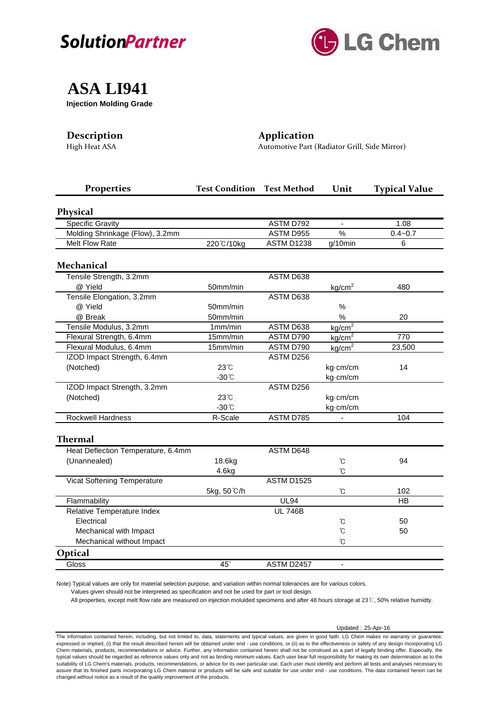



## **ASA LI941**

**Injection Molding Grade**

## **Description Application**

High Heat ASA Automotive Part (Radiator Grill, Side Mirror)

| Properties                         | <b>Test Condition</b> | <b>Test Method</b> | Unit               | <b>Typical Value</b> |
|------------------------------------|-----------------------|--------------------|--------------------|----------------------|
| <b>Physical</b>                    |                       |                    |                    |                      |
| <b>Specific Gravity</b>            |                       | ASTM D792          | $\blacksquare$     | 1.08                 |
| Molding Shrinkage (Flow), 3.2mm    |                       | ASTM D955          | $\frac{0}{6}$      | $0.4 - 0.7$          |
| <b>Melt Flow Rate</b>              | 220°C/10kg            | <b>ASTM D1238</b>  | g/10min            | 6                    |
| <b>Mechanical</b>                  |                       |                    |                    |                      |
| Tensile Strength, 3.2mm            |                       | ASTM D638          |                    |                      |
| @ Yield                            | 50mm/min              |                    | kg/cm <sup>2</sup> | 480                  |
| Tensile Elongation, 3.2mm          |                       | ASTM D638          |                    |                      |
| @ Yield                            | 50mm/min              |                    | $\%$               |                      |
| @ Break                            | 50mm/min              |                    | $\frac{0}{0}$      | 20                   |
| Tensile Modulus, 3.2mm             | 1mm/min               | ASTM D638          | kg/cm <sup>2</sup> |                      |
| Flexural Strength, 6.4mm           | 15mm/min              | ASTM D790          | kg/cm <sup>2</sup> | 770                  |
| Flexural Modulus, 6.4mm            | 15mm/min              | ASTM D790          | kg/cm <sup>2</sup> | 23,500               |
| IZOD Impact Strength, 6.4mm        |                       | ASTM D256          |                    |                      |
| (Notched)                          | $23^\circ$ C          |                    | kg-cm/cm           | 14                   |
|                                    | $-30^{\circ}$ C       |                    | kg-cm/cm           |                      |
| IZOD Impact Strength, 3.2mm        |                       | ASTM D256          |                    |                      |
| (Notched)                          | 23°C                  |                    | kg-cm/cm           |                      |
|                                    | $-30^{\circ}$ C       |                    | kg·cm/cm           |                      |
| Rockwell Hardness                  | R-Scale               | ASTM D785          |                    | 104                  |
| <b>Thermal</b>                     |                       |                    |                    |                      |
| Heat Deflection Temperature, 6.4mm |                       | ASTM D648          |                    |                      |
| (Unannealed)                       | 18.6kg                |                    | °C                 | 94                   |
|                                    | 4.6kg                 |                    | Ů                  |                      |
| Vicat Softening Temperature        |                       | <b>ASTM D1525</b>  |                    |                      |
|                                    | 5kg, 50°C/h           |                    | °C                 | 102                  |
| Flammability                       |                       | <b>UL94</b>        |                    | HB                   |
| Relative Temperature Index         |                       | <b>UL 746B</b>     |                    |                      |
| Electrical                         |                       |                    | °C                 | 50                   |
| Mechanical with Impact             |                       |                    | °C                 | 50                   |
| Mechanical without Impact          |                       |                    | °C                 |                      |
| Optical                            |                       |                    |                    |                      |
| Gloss                              | $45^\circ$            | ASTM D2457         |                    |                      |
|                                    |                       |                    |                    |                      |

Note) Typical values are only for material selection purpose, and variation within normal tolerances are for various colors.

Values given should not be interpreted as specification and not be used for part or tool design.

All properties, except melt flow rate are measured on injection molulded specimens and after 48 hours storage at 23℃, 50% relative humidty.

Updated : 25-Apr-16

The information contained herein, including, but not limited to, data, statements and typical values, are given in good faith. LG Chem makes no warranty or guarantee, expressed or implied, (i) that the result described herein will be obtained under end - use conditions, or (ii) as to the effectiveness or safety of any design incorporating LG Chem materials, products, recommendations or advice. Further, any information contained herein shall not be construed as a part of legally binding offer. Especially, the typical values should be regarded as reference values only and not as binding minimum values. Each user bear full responsibility for making its own determination as to the suitability of LG Chem's materials, products, recommendations, or advice for its own particular use. Each user must identify and perform all tests and analyses necessary to assure that its finished parts incorporating LG Chem material or products will be safe and suitable for use under end - use conditions. The data contained herein can be changed without notice as a result of the quality improvement of the products.